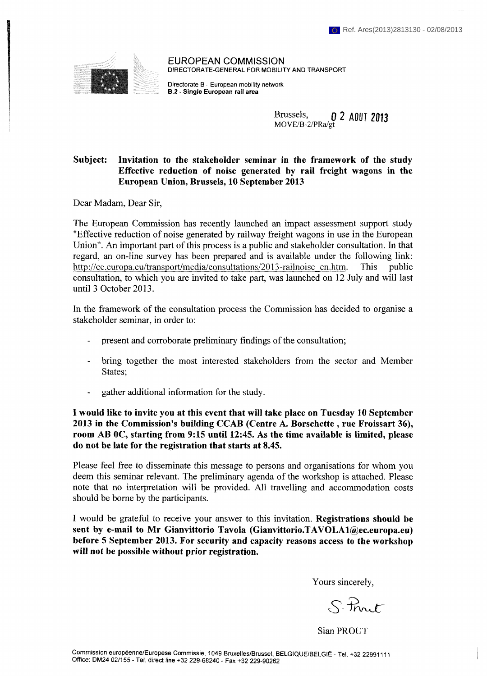

**EUROPEAN COMMISSION**  DIRECTORATE-GENERAL FOR MOBILITY AND TRANSPORT

Directorate В - European mobility network **B.2 - Single European rail area** 

> Brussels, **MOVE/B-2/PRa/gt 0** *2* **AOÛT 2013**

## **Subject: Invitation to the stakeholder seminar in the framework of the study Effective reduction of noise generated by rail freight wagons in the European Union, Brussels, 10 September 2013**

Dear Madam, Dear Sir,

The European Commission has recently launched an impact assessment support study "Effective reduction of noise generated by railway freight wagons in use in the European Union". An important part of this process is a public and stakeholder consultation. In that regard, an on-line survey has been prepared and is available under the following link: http://ec.europa.eu/transport/media/consultations/2013-railnoise en.htm. This public consultation, to which you are invited to take part, was launched on 12 July and will last until 3 October 2013.

In the framework of the consultation process the Commission has decided to organise a stakeholder seminar, in order to:

- present and corroborate preliminary findings of the consultation;
- bring together the most interested stakeholders from the sector and Member States;
- gather additional information for the study.

**I would like to invite you at this event that will take place on Tuesday 10 September 2013 in the Commission's building CCAB (Centre A. Borschette , rue Froissart 36), room AB OC, starting from 9:15 until 12:45. As the time available is limited, please do not be late for the registration that starts at 8.45.** 

Please feel free to disseminate this message to persons and organisations for whom you deem this seminar relevant. The preliminary agenda of the workshop is attached. Please note that no interpretation will be provided. All travelling and accommodation costs should be borne by the participants.

I would be grateful to receive your answer to this invitation. **Registrations should be sent by e-mail to Mr Gianvittorio Tavola [\(Gianvittorio.TAVOLAl@ec.europa.eu\)](mailto:Gianvittorio.TAVOLAl@ec.europa.eu) before 5 September 2013. For security and capacity reasons access to the workshop will not be possible without prior registration.** 

Yours sincerely,

 $8$ - Prut

Sian PROUT